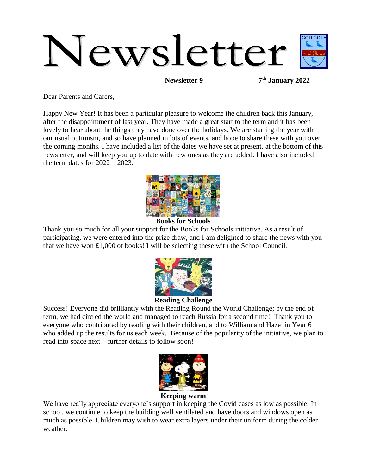

**Newsletter 9** 

**th January 2022**

Dear Parents and Carers,

Happy New Year! It has been a particular pleasure to welcome the children back this January, after the disappointment of last year. They have made a great start to the term and it has been lovely to hear about the things they have done over the holidays. We are starting the year with our usual optimism, and so have planned in lots of events, and hope to share these with you over the coming months. I have included a list of the dates we have set at present, at the bottom of this newsletter, and will keep you up to date with new ones as they are added. I have also included the term dates for  $2022 - 2023$ .



#### **Books for Schools**

Thank you so much for all your support for the Books for Schools initiative. As a result of participating, we were entered into the prize draw, and I am delighted to share the news with you that we have won £1,000 of books! I will be selecting these with the School Council.



#### **Reading Challenge**

Success! Everyone did brilliantly with the Reading Round the World Challenge; by the end of term, we had circled the world and managed to reach Russia for a second time! Thank you to everyone who contributed by reading with their children, and to William and Hazel in Year 6 who added up the results for us each week. Because of the popularity of the initiative, we plan to read into space next – further details to follow soon!



We have really appreciate everyone's support in keeping the Covid cases as low as possible. In school, we continue to keep the building well ventilated and have doors and windows open as much as possible. Children may wish to wear extra layers under their uniform during the colder weather.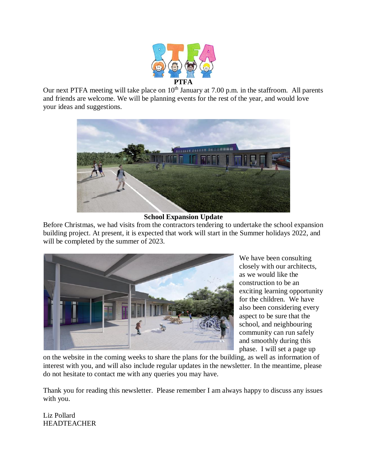

Our next PTFA meeting will take place on  $10<sup>th</sup>$  January at 7.00 p.m. in the staffroom. All parents and friends are welcome. We will be planning events for the rest of the year, and would love your ideas and suggestions.



#### **School Expansion Update**

Before Christmas, we had visits from the contractors tendering to undertake the school expansion building project. At present, it is expected that work will start in the Summer holidays 2022, and will be completed by the summer of 2023.



We have been consulting closely with our architects, as we would like the construction to be an exciting learning opportunity for the children. We have also been considering every aspect to be sure that the school, and neighbouring community can run safely and smoothly during this phase. I will set a page up

on the website in the coming weeks to share the plans for the building, as well as information of interest with you, and will also include regular updates in the newsletter. In the meantime, please do not hesitate to contact me with any queries you may have.

Thank you for reading this newsletter. Please remember I am always happy to discuss any issues with you.

Liz Pollard HEADTEACHER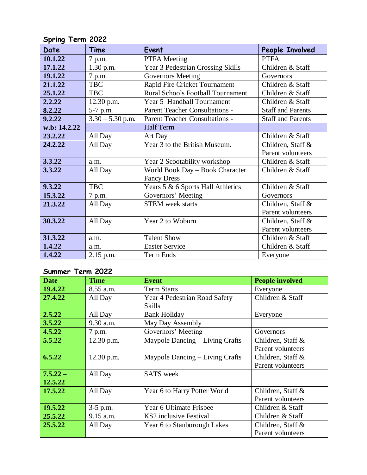| ັ<br>Date    | Time               | Event                                    | People Involved          |
|--------------|--------------------|------------------------------------------|--------------------------|
| 10.1.22      | 7 p.m.             | <b>PTFA</b> Meeting                      | <b>PTFA</b>              |
| 17.1.22      | 1.30 p.m.          | Year 3 Pedestrian Crossing Skills        | Children & Staff         |
| 19.1.22      | 7 p.m.             | <b>Governors Meeting</b>                 | Governors                |
| 21.1.22      | <b>TBC</b>         | Rapid Fire Cricket Tournament            | Children & Staff         |
| 25.1.22      | <b>TBC</b>         | <b>Rural Schools Football Tournament</b> | Children & Staff         |
| 2.2.22       | 12.30 p.m.         | Year 5 Handball Tournament               | Children & Staff         |
| 8.2.22       | 5-7 p.m.           | Parent Teacher Consultations -           | <b>Staff and Parents</b> |
| 9.2.22       | $3.30 - 5.30$ p.m. | Parent Teacher Consultations -           | <b>Staff and Parents</b> |
| w.b: 14.2.22 |                    | <b>Half Term</b>                         |                          |
| 23.2.22      | All Day            | Art Day                                  | Children & Staff         |
| 24.2.22      | All Day            | Year 3 to the British Museum.            | Children, Staff &        |
|              |                    |                                          | Parent volunteers        |
| 3.3.22       | a.m.               | Year 2 Scootability workshop             | Children & Staff         |
| 3.3.22       | All Day            | World Book Day - Book Character          | Children & Staff         |
|              |                    | <b>Fancy Dress</b>                       |                          |
| 9.3.22       | <b>TBC</b>         | Years 5 & 6 Sports Hall Athletics        | Children & Staff         |
| 15.3.22      | 7 p.m.             | Governors' Meeting                       | Governors                |
| 21.3.22      | All Day            | <b>STEM</b> week starts                  | Children, Staff &        |
|              |                    |                                          | Parent volunteers        |
| 30.3.22      | All Day            | Year 2 to Woburn                         | Children, Staff &        |
|              |                    |                                          | Parent volunteers        |
| 31.3.22      | a.m.               | <b>Talent Show</b>                       | Children & Staff         |
| 1.4.22       | a.m.               | <b>Easter Service</b>                    | Children & Staff         |
| 1.4.22       | $2.15$ p.m.        | Term Ends                                | Everyone                 |

# **Spring Term 2022**

# **Summer Term 2022**

| <b>Date</b> | <b>Time</b> | <b>Event</b>                    | <b>People involved</b> |
|-------------|-------------|---------------------------------|------------------------|
| 19.4.22     | 8.55 a.m.   | <b>Term Starts</b>              | Everyone               |
| 27.4.22     | All Day     | Year 4 Pedestrian Road Safety   | Children & Staff       |
|             |             | <b>Skills</b>                   |                        |
| 2.5.22      | All Day     | <b>Bank Holiday</b>             | Everyone               |
| 3.5.22      | 9.30 a.m.   | May Day Assembly                |                        |
| 4.5.22      | 7 p.m.      | Governors' Meeting              | Governors              |
| 5.5.22      | 12.30 p.m.  | Maypole Dancing – Living Crafts | Children, Staff &      |
|             |             |                                 | Parent volunteers      |
| 6.5.22      | 12.30 p.m.  | Maypole Dancing – Living Crafts | Children, Staff $\&$   |
|             |             |                                 | Parent volunteers      |
| $7.5.22 -$  | All Day     | <b>SATS</b> week                |                        |
| 12.5.22     |             |                                 |                        |
| 17.5.22     | All Day     | Year 6 to Harry Potter World    | Children, Staff &      |
|             |             |                                 | Parent volunteers      |
| 19.5.22     | $3-5$ p.m.  | Year 6 Ultimate Frisbee         | Children & Staff       |
| 25.5.22     | 9.15 a.m.   | KS2 inclusive Festival          | Children & Staff       |
| 25.5.22     | All Day     | Year 6 to Stanborough Lakes     | Children, Staff $\&$   |
|             |             |                                 | Parent volunteers      |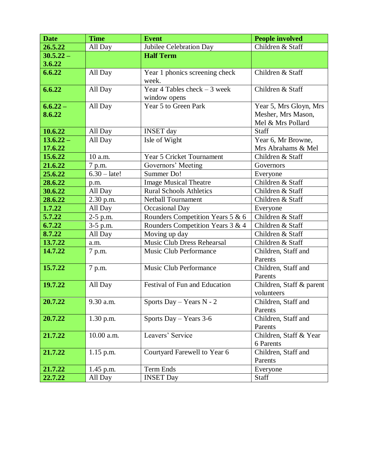| <b>Date</b> | <b>Time</b>    | <b>Event</b>                     | People involved          |
|-------------|----------------|----------------------------------|--------------------------|
| 26.5.22     | All Day        | Jubilee Celebration Day          | Children & Staff         |
| $30.5.22 -$ |                | <b>Half Term</b>                 |                          |
| 3.6.22      |                |                                  |                          |
| 6.6.22      | All Day        | Year 1 phonics screening check   | Children & Staff         |
|             |                | week.                            |                          |
| 6.6.22      | All Day        | Year 4 Tables check $-3$ week    | Children & Staff         |
|             |                | window opens                     |                          |
| $6.6.22 -$  | All Day        | Year 5 to Green Park             | Year 5, Mrs Gloyn, Mrs   |
| 8.6.22      |                |                                  | Mesher, Mrs Mason,       |
|             |                |                                  | Mel & Mrs Pollard        |
| 10.6.22     | All Day        | <b>INSET</b> day                 | Staff                    |
| $13.6.22 -$ | All Day        | Isle of Wight                    | Year 6, Mr Browne,       |
| 17.6.22     |                |                                  | Mrs Abrahams & Mel       |
| 15.6.22     | 10 a.m.        | <b>Year 5 Cricket Tournament</b> | Children & Staff         |
| 21.6.22     | 7 p.m.         | Governors' Meeting               | Governors                |
| 25.6.22     | $6.30 - late!$ | Summer Do!                       | Everyone                 |
| 28.6.22     | p.m.           | <b>Image Musical Theatre</b>     | Children & Staff         |
| 30.6.22     | All Day        | <b>Rural Schools Athletics</b>   | Children & Staff         |
| 28.6.22     | 2.30 p.m.      | Netball Tournament               | Children & Staff         |
| 1.7.22      | All Day        | Occasional Day                   | Everyone                 |
| 5.7.22      | 2-5 p.m.       | Rounders Competition Years 5 & 6 | Children & Staff         |
| 6.7.22      | 3-5 p.m.       | Rounders Competition Years 3 & 4 | Children & Staff         |
| 8.7.22      | All Day        | Moving up day                    | Children & Staff         |
| 13.7.22     | a.m.           | Music Club Dress Rehearsal       | Children & Staff         |
| 14.7.22     | 7 p.m.         | Music Club Performance           | Children, Staff and      |
|             |                |                                  | Parents                  |
| 15.7.22     | 7 p.m.         | <b>Music Club Performance</b>    | Children, Staff and      |
|             |                |                                  | Parents                  |
| 19.7.22     | All Day        | Festival of Fun and Education    | Children, Staff & parent |
|             |                |                                  | volunteers               |
| 20.7.22     | 9.30 a.m.      | Sports Day - Years N - 2         | Children, Staff and      |
|             |                |                                  | Parents                  |
| 20.7.22     | $1.30$ p.m.    | Sports Day – Years $3-6$         | Children, Staff and      |
|             |                |                                  | Parents                  |
| 21.7.22     | 10.00 a.m.     | Leavers' Service                 | Children, Staff & Year   |
|             |                |                                  | 6 Parents                |
| 21.7.22     | $1.15$ p.m.    | Courtyard Farewell to Year 6     | Children, Staff and      |
|             |                |                                  | Parents                  |
| 21.7.22     | $1.45$ p.m.    | Term Ends                        | Everyone                 |
| 22.7.22     | All Day        | <b>INSET Day</b>                 | Staff                    |